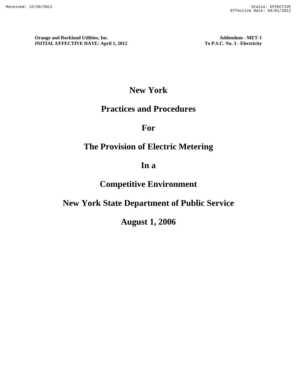# **New York**

# **Practices and Procedures**

**For** 

# **The Provision of Electric Metering**

# **In a**

# **Competitive Environment**

# **New York State Department of Public Service**

# **August 1, 2006**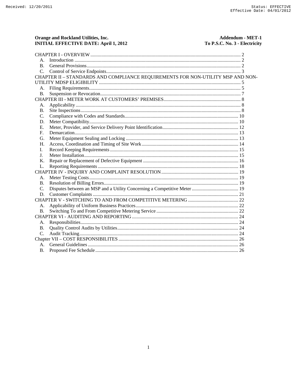Orange and Rockland Utilities, Inc.

Addendum - MET-1

| Orange and Rockland Utilities, Inc.<br><b>INITIAL EFFECTIVE DATE: April 1, 2012</b> | Addendum - MET-1<br>To P.S.C. No. 3 - Electricity |
|-------------------------------------------------------------------------------------|---------------------------------------------------|
|                                                                                     |                                                   |
| $A_{\cdot}$                                                                         |                                                   |
| $\bf{B}$ .                                                                          |                                                   |
| $C_{\cdot}$                                                                         |                                                   |
| CHAPTER II - STANDARDS AND COMPLIANCE REQUIREMENTS FOR NON-UTILITY MSP AND NON-     |                                                   |
|                                                                                     |                                                   |
| А.                                                                                  |                                                   |
| <b>B.</b>                                                                           |                                                   |
|                                                                                     |                                                   |
| А.                                                                                  |                                                   |
| <b>B.</b>                                                                           |                                                   |
| C.                                                                                  |                                                   |
| D.                                                                                  |                                                   |
| Е.                                                                                  |                                                   |
| $F_{\cdot}$                                                                         |                                                   |
| G.                                                                                  |                                                   |
| H.                                                                                  |                                                   |
| L.                                                                                  |                                                   |
| J.                                                                                  |                                                   |
| Κ.                                                                                  |                                                   |
| L.                                                                                  |                                                   |
|                                                                                     |                                                   |
| А.                                                                                  |                                                   |
| В.                                                                                  |                                                   |
| $\mathcal{C}$ .                                                                     |                                                   |
| D.                                                                                  |                                                   |
|                                                                                     |                                                   |
| A.                                                                                  |                                                   |
| В.                                                                                  |                                                   |
|                                                                                     |                                                   |
| А.                                                                                  |                                                   |
| <b>B.</b>                                                                           |                                                   |
| $C_{\cdot}$                                                                         |                                                   |
|                                                                                     |                                                   |
| $A_{\cdot}$                                                                         |                                                   |
| <b>B.</b>                                                                           |                                                   |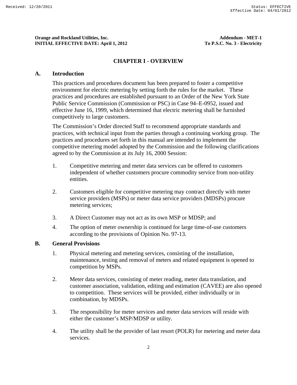#### **CHAPTER I - OVERVIEW**

#### **A. Introduction**

This practices and procedures document has been prepared to foster a competitive environment for electric metering by setting forth the rules for the market. These practices and procedures are established pursuant to an Order of the New York State Public Service Commission (Commission or PSC) in Case 94–E-0952, issued and effective June 16, 1999, which determined that electric metering shall be furnished competitively to large customers.

The Commission's Order directed Staff to recommend appropriate standards and practices, with technical input from the parties through a continuing working group. The practices and procedures set forth in this manual are intended to implement the competitive metering model adopted by the Commission and the following clarifications agreed to by the Commission at its July 16, 2000 Session:

- 1. Competitive metering and meter data services can be offered to customers independent of whether customers procure commodity service from non-utility entities.
- 2. Customers eligible for competitive metering may contract directly with meter service providers (MSPs) or meter data service providers (MDSPs) procure metering services;
- 3. A Direct Customer may not act as its own MSP or MDSP; and
- 4. The option of meter ownership is continued for large time-of-use customers according to the provisions of Opinion No. 97-13.

#### **B. General Provisions**

- 1. Physical metering and metering services, consisting of the installation, maintenance, testing and removal of meters and related equipment is opened to competition by MSPs.
- 2. Meter data services, consisting of meter reading, meter data translation, and customer association, validation, editing and estimation (CAVEE) are also opened to competition. These services will be provided, either individually or in combination, by MDSPs.
- 3. The responsibility for meter services and meter data services will reside with either the customer's MSP/MDSP or utility.
- 4. The utility shall be the provider of last resort (POLR) for metering and meter data services.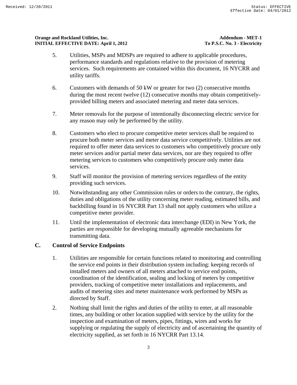- 5. Utilities, MSPs and MDSPs are required to adhere to applicable procedures, performance standards and regulations relative to the provision of metering services. Such requirements are contained within this document, 16 NYCRR and utility tariffs.
- 6. Customers with demands of 50 kW or greater for two (2) consecutive months during the most recent twelve (12) consecutive months may obtain competitivelyprovided billing meters and associated metering and meter data services.
- 7. Meter removals for the purpose of intentionally disconnecting electric service for any reason may only be performed by the utility.
- 8. Customers who elect to procure competitive meter services shall be required to procure both meter services and meter data service competitively. Utilities are not required to offer meter data services to customers who competitively procure only meter services and/or partial meter data services, nor are they required to offer metering services to customers who competitively procure only meter data services.
- 9. Staff will monitor the provision of metering services regardless of the entity providing such services.
- 10. Notwithstanding any other Commission rules or orders to the contrary, the rights, duties and obligations of the utility concerning meter reading, estimated bills, and backbilling found in 16 NYCRR Part 13 shall not apply customers who utilize a competitive meter provider.
- 11. Until the implementation of electronic data interchange (EDI) in New York, the parties are responsible for developing mutually agreeable mechanisms for transmitting data.

# **C. Control of Service Endpoints**

- 1. Utilities are responsible for certain functions related to monitoring and controlling the service end points in their distribution system including: keeping records of installed meters and owners of all meters attached to service end points, coordination of the identification, sealing and locking of meters by competitive providers, tracking of competitive meter installations and replacements, and audits of metering sites and meter maintenance work performed by MSPs as directed by Staff.
- 2. Nothing shall limit the rights and duties of the utility to enter, at all reasonable times, any building or other location supplied with service by the utility for the inspection and examination of meters, pipes, fittings, wires and works for supplying or regulating the supply of electricity and of ascertaining the quantity of electricity supplied, as set forth in 16 NYCRR Part 13.14.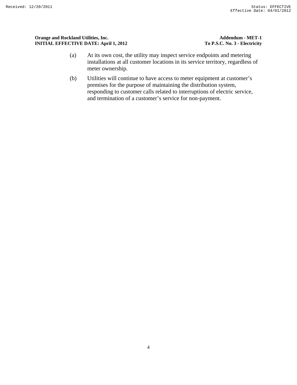#### **Orange and Rockland Utilities, Inc.** Addendum - MET-1 **INITIAL EFFECTIVE DATE: April 1, 2012** To P.S.C. No. 3 - Electricity

- (a) At its own cost, the utility may inspect service endpoints and metering installations at all customer locations in its service territory, regardless of meter ownership.
- (b) Utilities will continue to have access to meter equipment at customer's premises for the purpose of maintaining the distribution system, responding to customer calls related to interruptions of electric service, and termination of a customer's service for non-payment.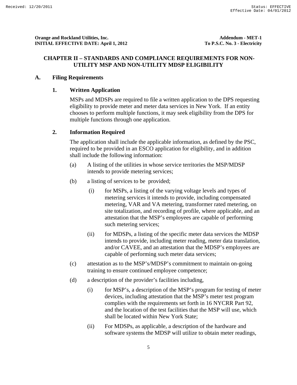### **CHAPTER II – STANDARDS AND COMPLIANCE REQUIREMENTS FOR NON-UTILITY MSP AND NON-UTILITY MDSP ELIGIBILITY**

#### **A. Filing Requirements**

#### **1. Written Application**

MSPs and MDSPs are required to file a written application to the DPS requesting eligibility to provide meter and meter data services in New York. If an entity chooses to perform multiple functions, it may seek eligibility from the DPS for multiple functions through one application.

### **2. Information Required**

The application shall include the applicable information, as defined by the PSC, required to be provided in an ESCO application for eligibility, and in addition shall include the following information:

- (a) A listing of the utilities in whose service territories the MSP/MDSP intends to provide metering services;
- (b) a listing of services to be provided;
	- (i) for MSPs, a listing of the varying voltage levels and types of metering services it intends to provide, including compensated metering, VAR and VA metering, transformer rated metering, on site totalization, and recording of profile, where applicable, and an attestation that the MSP's employees are capable of performing such metering services;
	- (ii) for MDSPs, a listing of the specific meter data services the MDSP intends to provide, including meter reading, meter data translation, and/or CAVEE, and an attestation that the MDSP's employees are capable of performing such meter data services;
- (c) attestation as to the MSP's/MDSP's commitment to maintain on-going training to ensure continued employee competence;
- (d) a description of the provider's facilities including,
	- (i) for MSP's, a description of the MSP's program for testing of meter devices, including attestation that the MSP's meter test program complies with the requirements set forth in 16 NYCRR Part 92, and the location of the test facilities that the MSP will use, which shall be located within New York State;
	- (ii) For MDSPs, as applicable, a description of the hardware and software systems the MDSP will utilize to obtain meter readings,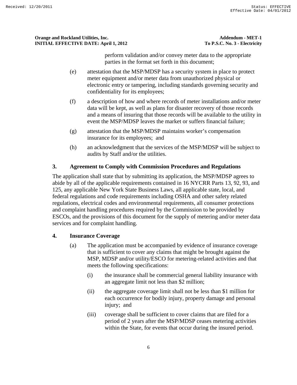perform validation and/or convey meter data to the appropriate parties in the format set forth in this document;

- (e) attestation that the MSP/MDSP has a security system in place to protect meter equipment and/or meter data from unauthorized physical or electronic entry or tampering, including standards governing security and confidentiality for its employees;
- (f) a description of how and where records of meter installations and/or meter data will be kept, as well as plans for disaster recovery of those records and a means of insuring that those records will be available to the utility in event the MSP/MDSP leaves the market or suffers financial failure;
- (g) attestation that the MSP/MDSP maintains worker's compensation insurance for its employees; and
- (h) an acknowledgment that the services of the MSP/MDSP will be subject to audits by Staff and/or the utilities.

# **3. Agreement to Comply with Commission Procedures and Regulations**

The application shall state that by submitting its application, the MSP/MDSP agrees to abide by all of the applicable requirements contained in 16 NYCRR Parts 13, 92, 93, and 125, any applicable New York State Business Laws, all applicable state, local, and federal regulations and code requirements including OSHA and other safety related regulations, electrical codes and environmental requirements, all consumer protections and complaint handling procedures required by the Commission to be provided by ESCOs, and the provisions of this document for the supply of metering and/or meter data services and for complaint handling.

# **4. Insurance Coverage**

- (a) The application must be accompanied by evidence of insurance coverage that is sufficient to cover any claims that might be brought against the MSP, MDSP and/or utility/ESCO for metering-related activities and that meets the following specifications:
	- (i) the insurance shall be commercial general liability insurance with an aggregate limit not less than \$2 million;
	- (ii) the aggregate coverage limit shall not be less than \$1 million for each occurrence for bodily injury, property damage and personal injury; and
	- (iii) coverage shall be sufficient to cover claims that are filed for a period of 2 years after the MSP/MDSP ceases metering activities within the State, for events that occur during the insured period.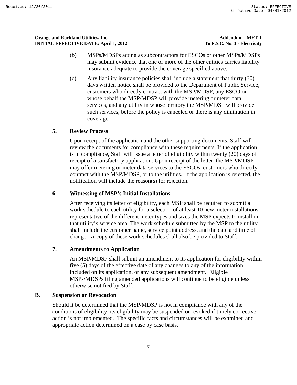- (b) MSPs/MDSPs acting as subcontractors for ESCOs or other MSPs/MDSPs may submit evidence that one or more of the other entities carries liability insurance adequate to provide the coverage specified above.
- (c) Any liability insurance policies shall include a statement that thirty (30) days written notice shall be provided to the Department of Public Service, customers who directly contract with the MSP/MDSP, any ESCO on whose behalf the MSP/MDSP will provide metering or meter data services, and any utility in whose territory the MSP/MDSP will provide such services, before the policy is canceled or there is any diminution in coverage.

# **5. Review Process**

Upon receipt of the application and the other supporting documents, Staff will review the documents for compliance with these requirements. If the application is in compliance, Staff will issue a letter of eligibility within twenty (20) days of receipt of a satisfactory application. Upon receipt of the letter, the MSP/MDSP may offer metering or meter data services to the ESCOs, customers who directly contract with the MSP/MDSP, or to the utilities. If the application is rejected, the notification will include the reason(s) for rejection.

### **6. Witnessing of MSP's Initial Installations**

After receiving its letter of eligibility, each MSP shall be required to submit a work schedule to each utility for a selection of at least 10 new meter installations representative of the different meter types and sizes the MSP expects to install in that utility's service area. The work schedule submitted by the MSP to the utility shall include the customer name, service point address, and the date and time of change. A copy of these work schedules shall also be provided to Staff.

### **7. Amendments to Application**

An MSP/MDSP shall submit an amendment to its application for eligibility within five (5) days of the effective date of any changes to any of the information included on its application, or any subsequent amendment. Eligible MSPs/MDSPs filing amended applications will continue to be eligible unless otherwise notified by Staff.

### **B. Suspension or Revocation**

Should it be determined that the MSP/MDSP is not in compliance with any of the conditions of eligibility, its eligibility may be suspended or revoked if timely corrective action is not implemented. The specific facts and circumstances will be examined and appropriate action determined on a case by case basis.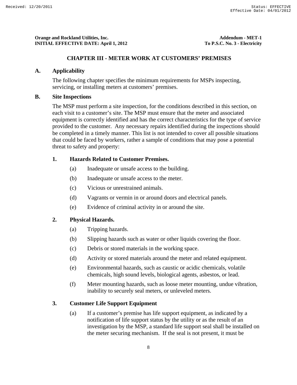### **CHAPTER III - METER WORK AT CUSTOMERS' PREMISES**

### **A. Applicability**

The following chapter specifies the minimum requirements for MSPs inspecting, servicing, or installing meters at customers' premises.

## **B. Site Inspections**

The MSP must perform a site inspection, for the conditions described in this section, on each visit to a customer's site. The MSP must ensure that the meter and associated equipment is correctly identified and has the correct characteristics for the type of service provided to the customer. Any necessary repairs identified during the inspections should be completed in a timely manner. This list is not intended to cover all possible situations that could be faced by workers, rather a sample of conditions that may pose a potential threat to safety and property:

# **1. Hazards Related to Customer Premises.**

- (a) Inadequate or unsafe access to the building.
- (b) Inadequate or unsafe access to the meter.
- (c) Vicious or unrestrained animals.
- (d) Vagrants or vermin in or around doors and electrical panels.
- (e) Evidence of criminal activity in or around the site.

# **2. Physical Hazards.**

- (a) Tripping hazards.
- (b) Slipping hazards such as water or other liquids covering the floor.
- (c) Debris or stored materials in the working space.
- (d) Activity or stored materials around the meter and related equipment.
- (e) Environmental hazards, such as caustic or acidic chemicals, volatile chemicals, high sound levels, biological agents, asbestos, or lead.
- (f) Meter mounting hazards, such as loose meter mounting, undue vibration, inability to securely seal meters, or unleveled meters.

# **3. Customer Life Support Equipment**

(a) If a customer's premise has life support equipment, as indicated by a notification of life support status by the utility or as the result of an investigation by the MSP, a standard life support seal shall be installed on the meter securing mechanism. If the seal is not present, it must be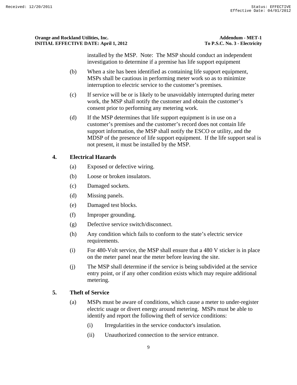installed by the MSP. Note: The MSP should conduct an independent investigation to determine if a premise has life support equipment

- (b) When a site has been identified as containing life support equipment, MSPs shall be cautious in performing meter work so as to minimize interruption to electric service to the customer's premises.
- (c) If service will be or is likely to be unavoidably interrupted during meter work, the MSP shall notify the customer and obtain the customer's consent prior to performing any metering work.
- (d) If the MSP determines that life support equipment is in use on a customer's premises and the customer's record does not contain life support information, the MSP shall notify the ESCO or utility, and the MDSP of the presence of life support equipment. If the life support seal is not present, it must be installed by the MSP.

# **4. Electrical Hazards**

- (a) Exposed or defective wiring.
- (b) Loose or broken insulators.
- (c) Damaged sockets.
- (d) Missing panels.
- (e) Damaged test blocks.
- (f) Improper grounding.
- (g) Defective service switch/disconnect.
- (h) Any condition which fails to conform to the state's electric service requirements.
- (i) For 480-Volt service, the MSP shall ensure that a 480 V sticker is in place on the meter panel near the meter before leaving the site.
- (j) The MSP shall determine if the service is being subdivided at the service entry point, or if any other condition exists which may require additional metering.

# **5. Theft of Service**

- (a) MSPs must be aware of conditions, which cause a meter to under-register electric usage or divert energy around metering. MSPs must be able to identify and report the following theft of service conditions:
	- (i) Irregularities in the service conductor's insulation.
	- (ii) Unauthorized connection to the service entrance.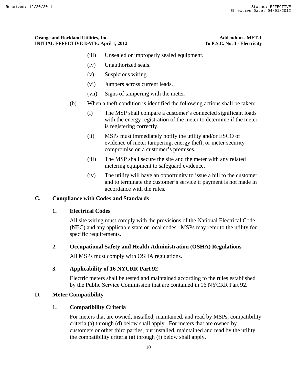- (iii) Unsealed or improperly sealed equipment.
- (iv) Unauthorized seals.
- (v) Suspicious wiring.
- (vi) Jumpers across current leads.
- (vii) Signs of tampering with the meter.
- (b) When a theft condition is identified the following actions shall be taken:
	- (i) The MSP shall compare a customer's connected significant loads with the energy registration of the meter to determine if the meter is registering correctly.
	- (ii) MSPs must immediately notify the utility and/or ESCO of evidence of meter tampering, energy theft, or meter security compromise on a customer's premises.
	- (iii) The MSP shall secure the site and the meter with any related metering equipment to safeguard evidence.
	- (iv) The utility will have an opportunity to issue a bill to the customer and to terminate the customer's service if payment is not made in accordance with the rules.

### **C. Compliance with Codes and Standards**

#### **1. Electrical Codes**

All site wiring must comply with the provisions of the National Electrical Code (NEC) and any applicable state or local codes. MSPs may refer to the utility for specific requirements.

#### **2. Occupational Safety and Health Administration (OSHA) Regulations**

All MSPs must comply with OSHA regulations.

### **3. Applicability of 16 NYCRR Part 92**

Electric meters shall be tested and maintained according to the rules established by the Public Service Commission that are contained in 16 NYCRR Part 92.

#### **D. Meter Compatibility**

### **1. Compatibility Criteria**

For meters that are owned, installed, maintained, and read by MSPs, compatibility criteria (a) through (d) below shall apply. For meters that are owned by customers or other third parties, but installed, maintained and read by the utility, the compatibility criteria (a) through (f) below shall apply.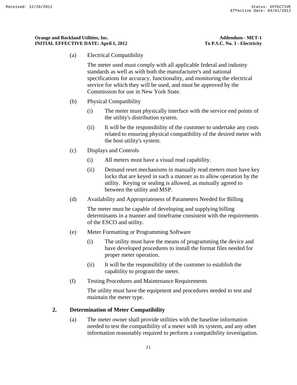(a) Electrical Compatibility

The meter used must comply with all applicable federal and industry standards as well as with both the manufacturer's and national specifications for accuracy, functionality, and monitoring the electrical service for which they will be used, and must be approved by the Commission for use in New York State.

- (b) Physical Compatibility
	- (i) The meter must physically interface with the service end points of the utility's distribution system.
	- (ii) It will be the responsibility of the customer to undertake any costs related to ensuring physical compatibility of the desired meter with the host utility's system.
- (c) Displays and Controls
	- (i) All meters must have a visual read capability.
	- (ii) Demand reset mechanisms in manually read meters must have key locks that are keyed in such a manner as to allow operation by the utility. Keying or sealing is allowed, as mutually agreed to between the utility and MSP.
- (d) Availability and Appropriateness of Parameters Needed for Billing

The meter must be capable of developing and supplying billing determinants in a manner and timeframe consistent with the requirements of the ESCO and utility.

- (e) Meter Formatting or Programming Software
	- (i) The utility must have the means of programming the device and have developed procedures to install the format files needed for proper meter operation.
	- (ii) It will be the responsibility of the customer to establish the capability to program the meter.
- (f) Testing Procedures and Maintenance Requirements

The utility must have the equipment and procedures needed to test and maintain the meter type.

### **2. Determination of Meter Compatibility**

(a) The meter owner shall provide utilities with the baseline information needed to test the compatibility of a meter with its system, and any other information reasonably required to perform a compatibility investigation.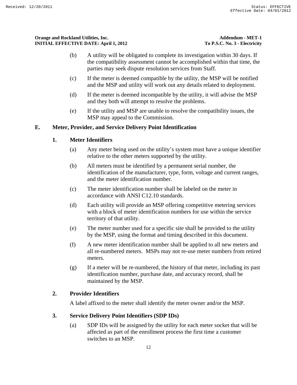- (b) A utility will be obligated to complete its investigation within 30 days. If the compatibility assessment cannot be accomplished within that time, the parties may seek dispute resolution services from Staff.
- (c) If the meter is deemed compatible by the utility, the MSP will be notified and the MSP and utility will work out any details related to deployment.
- (d) If the meter is deemed incompatible by the utility, it will advise the MSP and they both will attempt to resolve the problems.
- (e) If the utility and MSP are unable to resolve the compatibility issues, the MSP may appeal to the Commission.

# **E. Meter, Provider, and Service Delivery Point Identification**

# **1. Meter Identifiers**

- (a) Any meter being used on the utility's system must have a unique identifier relative to the other meters supported by the utility.
- (b) All meters must be identified by a permanent serial number, the identification of the manufacturer, type, form, voltage and current ranges, and the meter identification number.
- (c) The meter identification number shall be labeled on the meter in accordance with ANSI C12.10 standards.
- (d) Each utility will provide an MSP offering competitive metering services with a block of meter identification numbers for use within the service territory of that utility.
- (e) The meter number used for a specific site shall be provided to the utility by the MSP, using the format and timing described in this document.
- (f) A new meter identification number shall be applied to all new meters and all re-numbered meters. MSPs may not re-use meter numbers from retired meters.
- (g) If a meter will be re-numbered, the history of that meter, including its past identification number, purchase date, and accuracy record, shall be maintained by the MSP.

# **2. Provider Identifiers**

A label affixed to the meter shall identify the meter owner and/or the MSP.

# **3. Service Delivery Point Identifiers (SDP IDs)**

(a) SDP IDs will be assigned by the utility for each meter socket that will be affected as part of the enrollment process the first time a customer switches to an MSP.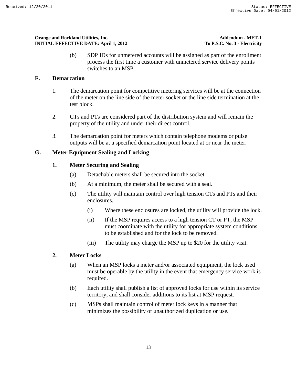(b) SDP IDs for unmetered accounts will be assigned as part of the enrollment process the first time a customer with unmetered service delivery points switches to an MSP.

## **F. Demarcation**

- 1. The demarcation point for competitive metering services will be at the connection of the meter on the line side of the meter socket or the line side termination at the test block.
- 2. CTs and PTs are considered part of the distribution system and will remain the property of the utility and under their direct control.
- 3. The demarcation point for meters which contain telephone modems or pulse outputs will be at a specified demarcation point located at or near the meter.

## **G. Meter Equipment Sealing and Locking**

## **1. Meter Securing and Sealing**

- (a) Detachable meters shall be secured into the socket.
- (b) At a minimum, the meter shall be secured with a seal.
- (c) The utility will maintain control over high tension CTs and PTs and their enclosures.
	- (i) Where these enclosures are locked, the utility will provide the lock.
	- (ii) If the MSP requires access to a high tension CT or PT, the MSP must coordinate with the utility for appropriate system conditions to be established and for the lock to be removed.
	- (iii) The utility may charge the MSP up to \$20 for the utility visit.

### **2. Meter Locks**

- (a) When an MSP locks a meter and/or associated equipment, the lock used must be operable by the utility in the event that emergency service work is required.
- (b) Each utility shall publish a list of approved locks for use within its service territory, and shall consider additions to its list at MSP request.
- (c) MSPs shall maintain control of meter lock keys in a manner that minimizes the possibility of unauthorized duplication or use.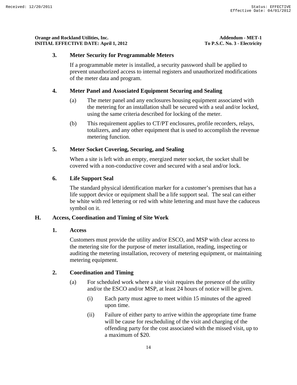#### **3. Meter Security for Programmable Meters**

If a programmable meter is installed, a security password shall be applied to prevent unauthorized access to internal registers and unauthorized modifications of the meter data and program.

### **4. Meter Panel and Associated Equipment Securing and Sealing**

- (a) The meter panel and any enclosures housing equipment associated with the metering for an installation shall be secured with a seal and/or locked, using the same criteria described for locking of the meter.
- (b) This requirement applies to CT/PT enclosures, profile recorders, relays, totalizers, and any other equipment that is used to accomplish the revenue metering function.

#### **5. Meter Socket Covering, Securing, and Sealing**

When a site is left with an empty, energized meter socket, the socket shall be covered with a non-conductive cover and secured with a seal and/or lock.

#### **6. Life Support Seal**

The standard physical identification marker for a customer's premises that has a life support device or equipment shall be a life support seal. The seal can either be white with red lettering or red with white lettering and must have the caduceus symbol on it.

### **H. Access, Coordination and Timing of Site Work**

**1. Access** 

Customers must provide the utility and/or ESCO, and MSP with clear access to the metering site for the purpose of meter installation, reading, inspecting or auditing the metering installation, recovery of metering equipment, or maintaining metering equipment.

### **2. Coordination and Timing**

- (a) For scheduled work where a site visit requires the presence of the utility and/or the ESCO and/or MSP, at least 24 hours of notice will be given.
	- (i) Each party must agree to meet within 15 minutes of the agreed upon time.
	- (ii) Failure of either party to arrive within the appropriate time frame will be cause for rescheduling of the visit and charging of the offending party for the cost associated with the missed visit, up to a maximum of \$20.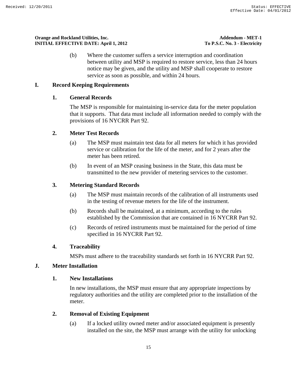(b) Where the customer suffers a service interruption and coordination between utility and MSP is required to restore service, less than 24 hours notice may be given, and the utility and MSP shall cooperate to restore service as soon as possible, and within 24 hours.

# **I. Record Keeping Requirements**

### **1. General Records**

The MSP is responsible for maintaining in-service data for the meter population that it supports. That data must include all information needed to comply with the provisions of 16 NYCRR Part 92.

## **2. Meter Test Records**

- (a) The MSP must maintain test data for all meters for which it has provided service or calibration for the life of the meter, and for 2 years after the meter has been retired.
- (b) In event of an MSP ceasing business in the State, this data must be transmitted to the new provider of metering services to the customer.

## **3. Metering Standard Records**

- (a) The MSP must maintain records of the calibration of all instruments used in the testing of revenue meters for the life of the instrument.
- (b) Records shall be maintained, at a minimum, according to the rules established by the Commission that are contained in 16 NYCRR Part 92.
- (c) Records of retired instruments must be maintained for the period of time specified in 16 NYCRR Part 92.

### **4. Traceability**

MSPs must adhere to the traceability standards set forth in 16 NYCRR Part 92.

# **J. Meter Installation**

### **1. New Installations**

In new installations, the MSP must ensure that any appropriate inspections by regulatory authorities and the utility are completed prior to the installation of the meter.

### **2. Removal of Existing Equipment**

(a) If a locked utility owned meter and/or associated equipment is presently installed on the site, the MSP must arrange with the utility for unlocking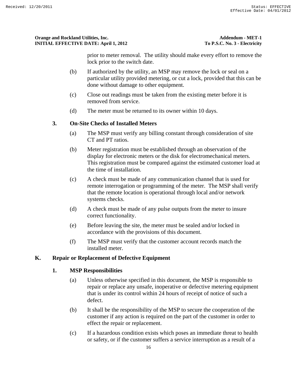prior to meter removal. The utility should make every effort to remove the lock prior to the switch date.

- (b) If authorized by the utility, an MSP may remove the lock or seal on a particular utility provided metering, or cut a lock, provided that this can be done without damage to other equipment.
- (c) Close out readings must be taken from the existing meter before it is removed from service.
- (d) The meter must be returned to its owner within 10 days.

# **3. On-Site Checks of Installed Meters**

- (a) The MSP must verify any billing constant through consideration of site CT and PT ratios.
- (b) Meter registration must be established through an observation of the display for electronic meters or the disk for electromechanical meters. This registration must be compared against the estimated customer load at the time of installation.
- (c) A check must be made of any communication channel that is used for remote interrogation or programming of the meter. The MSP shall verify that the remote location is operational through local and/or network systems checks.
- (d) A check must be made of any pulse outputs from the meter to insure correct functionality.
- (e) Before leaving the site, the meter must be sealed and/or locked in accordance with the provisions of this document.
- (f) The MSP must verify that the customer account records match the installed meter.

# **K. Repair or Replacement of Defective Equipment**

# **1. MSP Responsibilities**

- (a) Unless otherwise specified in this document, the MSP is responsible to repair or replace any unsafe, inoperative or defective metering equipment that is under its control within 24 hours of receipt of notice of such a defect.
- (b) It shall be the responsibility of the MSP to secure the cooperation of the customer if any action is required on the part of the customer in order to effect the repair or replacement.
- (c) If a hazardous condition exists which poses an immediate threat to health or safety, or if the customer suffers a service interruption as a result of a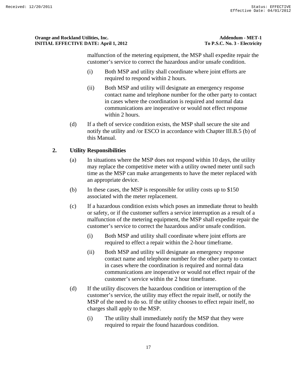malfunction of the metering equipment, the MSP shall expedite repair the customer's service to correct the hazardous and/or unsafe condition.

- (i) Both MSP and utility shall coordinate where joint efforts are required to respond within 2 hours.
- (ii) Both MSP and utility will designate an emergency response contact name and telephone number for the other party to contact in cases where the coordination is required and normal data communications are inoperative or would not effect response within 2 hours.
- (d) If a theft of service condition exists, the MSP shall secure the site and notify the utility and /or ESCO in accordance with Chapter III.B.5 (b) of this Manual.

# **2. Utility Responsibilities**

- (a) In situations where the MSP does not respond within 10 days, the utility may replace the competitive meter with a utility owned meter until such time as the MSP can make arrangements to have the meter replaced with an appropriate device.
- (b) In these cases, the MSP is responsible for utility costs up to \$150 associated with the meter replacement.
- (c) If a hazardous condition exists which poses an immediate threat to health or safety, or if the customer suffers a service interruption as a result of a malfunction of the metering equipment, the MSP shall expedite repair the customer's service to correct the hazardous and/or unsafe condition.
	- (i) Both MSP and utility shall coordinate where joint efforts are required to effect a repair within the 2-hour timeframe.
	- (ii) Both MSP and utility will designate an emergency response contact name and telephone number for the other party to contact in cases where the coordination is required and normal data communications are inoperative or would not effect repair of the customer's service within the 2 hour timeframe.
- (d) If the utility discovers the hazardous condition or interruption of the customer's service, the utility may effect the repair itself, or notify the MSP of the need to do so. If the utility chooses to effect repair itself, no charges shall apply to the MSP.
	- (i) The utility shall immediately notify the MSP that they were required to repair the found hazardous condition.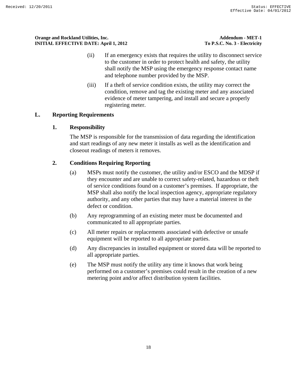- (ii) If an emergency exists that requires the utility to disconnect service to the customer in order to protect health and safety, the utility shall notify the MSP using the emergency response contact name and telephone number provided by the MSP.
- (iii) If a theft of service condition exists, the utility may correct the condition, remove and tag the existing meter and any associated evidence of meter tampering, and install and secure a properly registering meter.

# **L. Reporting Requirements**

### **1. Responsibility**

The MSP is responsible for the transmission of data regarding the identification and start readings of any new meter it installs as well as the identification and closeout readings of meters it removes.

## **2. Conditions Requiring Reporting**

- (a) MSPs must notify the customer, the utility and/or ESCO and the MDSP if they encounter and are unable to correct safety-related, hazardous or theft of service conditions found on a customer's premises. If appropriate, the MSP shall also notify the local inspection agency, appropriate regulatory authority, and any other parties that may have a material interest in the defect or condition.
- (b) Any reprogramming of an existing meter must be documented and communicated to all appropriate parties.
- (c) All meter repairs or replacements associated with defective or unsafe equipment will be reported to all appropriate parties.
- (d) Any discrepancies in installed equipment or stored data will be reported to all appropriate parties.
- (e) The MSP must notify the utility any time it knows that work being performed on a customer's premises could result in the creation of a new metering point and/or affect distribution system facilities.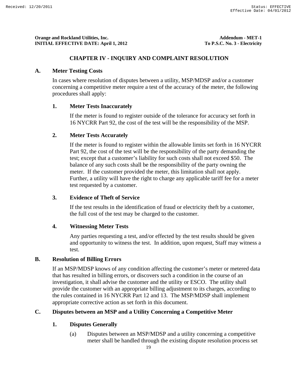#### **CHAPTER IV - INQUIRY AND COMPLAINT RESOLUTION**

#### **A. Meter Testing Costs**

In cases where resolution of disputes between a utility, MSP/MDSP and/or a customer concerning a competitive meter require a test of the accuracy of the meter, the following procedures shall apply:

### **1. Meter Tests Inaccurately**

If the meter is found to register outside of the tolerance for accuracy set forth in 16 NYCRR Part 92, the cost of the test will be the responsibility of the MSP.

#### **2. Meter Tests Accurately**

If the meter is found to register within the allowable limits set forth in 16 NYCRR Part 92, the cost of the test will be the responsibility of the party demanding the test; except that a customer's liability for such costs shall not exceed \$50. The balance of any such costs shall be the responsibility of the party owning the meter. If the customer provided the meter, this limitation shall not apply. Further, a utility will have the right to charge any applicable tariff fee for a meter test requested by a customer.

### **3. Evidence of Theft of Service**

If the test results in the identification of fraud or electricity theft by a customer, the full cost of the test may be charged to the customer.

### **4. Witnessing Meter Tests**

Any parties requesting a test, and/or effected by the test results should be given and opportunity to witness the test. In addition, upon request, Staff may witness a test.

### **B. Resolution of Billing Errors**

If an MSP/MDSP knows of any condition affecting the customer's meter or metered data that has resulted in billing errors, or discovers such a condition in the course of an investigation, it shall advise the customer and the utility or ESCO. The utility shall provide the customer with an appropriate billing adjustment to its charges, according to the rules contained in 16 NYCRR Part 12 and 13. The MSP/MDSP shall implement appropriate corrective action as set forth in this document.

### **C. Disputes between an MSP and a Utility Concerning a Competitive Meter**

#### **1. Disputes Generally**

(a) Disputes between an MSP/MDSP and a utility concerning a competitive meter shall be handled through the existing dispute resolution process set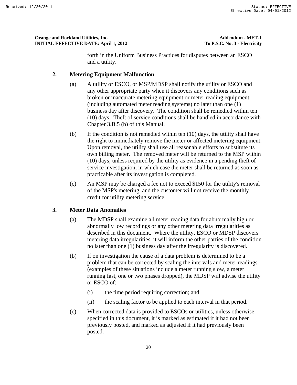forth in the Uniform Business Practices for disputes between an ESCO and a utility.

### **2. Metering Equipment Malfunction**

- (a) A utility or ESCO, or MSP/MDSP shall notify the utility or ESCO and any other appropriate party when it discovers any conditions such as broken or inaccurate metering equipment or meter reading equipment (including automated meter reading systems) no later than one (1) business day after discovery. The condition shall be remedied within ten (10) days. Theft of service conditions shall be handled in accordance with Chapter 3.B.5 (b) of this Manual.
- (b) If the condition is not remedied within ten (10) days, the utility shall have the right to immediately remove the meter or affected metering equipment. Upon removal, the utility shall use all reasonable efforts to substitute its own billing meter. The removed meter will be returned to the MSP within (10) days; unless required by the utility as evidence in a pending theft of service investigation, in which case the meter shall be returned as soon as practicable after its investigation is completed.
- (c) An MSP may be charged a fee not to exceed \$150 for the utility's removal of the MSP's metering, and the customer will not receive the monthly credit for utility metering service.

### **3. Meter Data Anomalies**

- (a) The MDSP shall examine all meter reading data for abnormally high or abnormally low recordings or any other metering data irregularities as described in this document. Where the utility, ESCO or MDSP discovers metering data irregularities, it will inform the other parties of the condition no later than one (1) business day after the irregularity is discovered.
- (b) If on investigation the cause of a data problem is determined to be a problem that can be corrected by scaling the intervals and meter readings (examples of these situations include a meter running slow, a meter running fast, one or two phases dropped), the MDSP will advise the utility or ESCO of:
	- (i) the time period requiring correction; and
	- (ii) the scaling factor to be applied to each interval in that period.
- (c) When corrected data is provided to ESCOs or utilities, unless otherwise specified in this document, it is marked as estimated if it had not been previously posted, and marked as adjusted if it had previously been posted.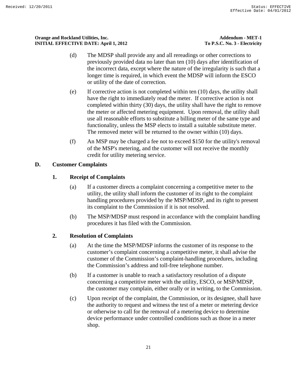- (d) The MDSP shall provide any and all rereadings or other corrections to previously provided data no later than ten (10) days after identification of the incorrect data, except where the nature of the irregularity is such that a longer time is required, in which event the MDSP will inform the ESCO or utility of the date of correction.
- (e) If corrective action is not completed within ten (10) days, the utility shall have the right to immediately read the meter. If corrective action is not completed within thirty (30) days, the utility shall have the right to remove the meter or affected metering equipment. Upon removal, the utility shall use all reasonable efforts to substitute a billing meter of the same type and functionality, unless the MSP elects to install a suitable substitute meter. The removed meter will be returned to the owner within (10) days.
- (f) An MSP may be charged a fee not to exceed \$150 for the utility's removal of the MSP's metering, and the customer will not receive the monthly credit for utility metering service.

# **D. Customer Complaints**

# **1. Receipt of Complaints**

- (a) If a customer directs a complaint concerning a competitive meter to the utility, the utility shall inform the customer of its right to the complaint handling procedures provided by the MSP/MDSP, and its right to present its complaint to the Commission if it is not resolved.
- (b) The MSP/MDSP must respond in accordance with the complaint handling procedures it has filed with the Commission.

# **2. Resolution of Complaints**

- (a) At the time the MSP/MDSP informs the customer of its response to the customer's complaint concerning a competitive meter, it shall advise the customer of the Commission's complaint-handling procedures, including the Commission's address and toll-free telephone number.
- (b) If a customer is unable to reach a satisfactory resolution of a dispute concerning a competitive meter with the utility, ESCO, or MSP/MDSP, the customer may complain, either orally or in writing, to the Commission.
- (c) Upon receipt of the complaint, the Commission, or its designee, shall have the authority to request and witness the test of a meter or metering device or otherwise to call for the removal of a metering device to determine device performance under controlled conditions such as those in a meter shop.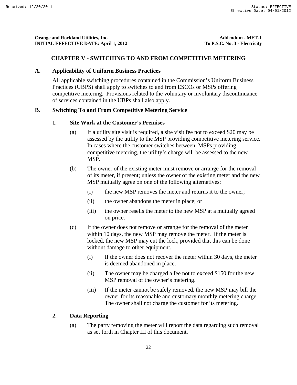#### **CHAPTER V - SWITCHING TO AND FROM COMPETITIVE METERING**

#### **A. Applicability of Uniform Business Practices**

All applicable switching procedures contained in the Commission's Uniform Business Practices (UBPS) shall apply to switches to and from ESCOs or MSPs offering competitive metering. Provisions related to the voluntary or involuntary discontinuance of services contained in the UBPs shall also apply.

### **B. Switching To and From Competitive Metering Service**

#### **1. Site Work at the Customer's Premises**

- (a) If a utility site visit is required, a site visit fee not to exceed \$20 may be assessed by the utility to the MSP providing competitive metering service. In cases where the customer switches between MSPs providing competitive metering, the utility's charge will be assessed to the new MSP.
- (b) The owner of the existing meter must remove or arrange for the removal of its meter, if present; unless the owner of the existing meter and the new MSP mutually agree on one of the following alternatives:
	- (i) the new MSP removes the meter and returns it to the owner;
	- (ii) the owner abandons the meter in place; or
	- (iii) the owner resells the meter to the new MSP at a mutually agreed on price.
- (c) If the owner does not remove or arrange for the removal of the meter within 10 days, the new MSP may remove the meter. If the meter is locked, the new MSP may cut the lock, provided that this can be done without damage to other equipment.
	- (i) If the owner does not recover the meter within 30 days, the meter is deemed abandoned in place.
	- (ii) The owner may be charged a fee not to exceed \$150 for the new MSP removal of the owner's metering.
	- (iii) If the meter cannot be safely removed, the new MSP may bill the owner for its reasonable and customary monthly metering charge. The owner shall not charge the customer for its metering.

#### **2. Data Reporting**

(a) The party removing the meter will report the data regarding such removal as set forth in Chapter III of this document.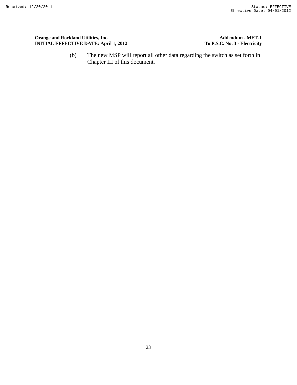Orange and Rockland Utilities, Inc.<br> **Addendum - MET-1**<br> **COLORED INITIAL EFFECTIVE DATE:** April 1, 2012<br> **COLORED IN THE SECTIVE DATE:** April 1, 2012 **INITIAL EFFECTIVE DATE: April 1, 2012** 

(b) The new MSP will report all other data regarding the switch as set forth in Chapter III of this document.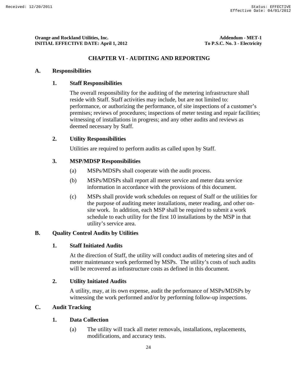### **CHAPTER VI - AUDITING AND REPORTING**

### **A. Responsibilities**

### **1. Staff Responsibilities**

The overall responsibility for the auditing of the metering infrastructure shall reside with Staff. Staff activities may include, but are not limited to: performance, or authorizing the performance, of site inspections of a customer's premises; reviews of procedures; inspections of meter testing and repair facilities; witnessing of installations in progress; and any other audits and reviews as deemed necessary by Staff.

## **2. Utility Responsibilities**

Utilities are required to perform audits as called upon by Staff.

### **3. MSP/MDSP Responsibilities**

- (a) MSPs/MDSPs shall cooperate with the audit process.
- (b) MSPs/MDSPs shall report all meter service and meter data service information in accordance with the provisions of this document.
- (c) MSPs shall provide work schedules on request of Staff or the utilities for the purpose of auditing meter installations, meter reading, and other onsite work. In addition, each MSP shall be required to submit a work schedule to each utility for the first 10 installations by the MSP in that utility's service area.

### **B. Quality Control Audits by Utilities**

### **1. Staff Initiated Audits**

At the direction of Staff, the utility will conduct audits of metering sites and of meter maintenance work performed by MSPs. The utility's costs of such audits will be recovered as infrastructure costs as defined in this document.

### **2. Utility Initiated Audits**

A utility, may, at its own expense, audit the performance of MSPs/MDSPs by witnessing the work performed and/or by performing follow-up inspections.

# **C. Audit Tracking**

### **1. Data Collection**

(a) The utility will track all meter removals, installations, replacements, modifications, and accuracy tests.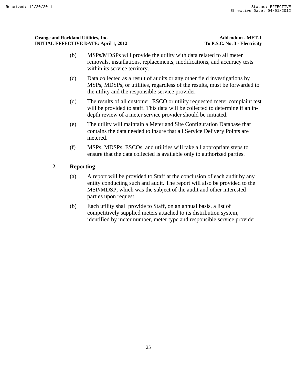- (b) MSPs/MDSPs will provide the utility with data related to all meter removals, installations, replacements, modifications, and accuracy tests within its service territory.
- (c) Data collected as a result of audits or any other field investigations by MSPs, MDSPs, or utilities, regardless of the results, must be forwarded to the utility and the responsible service provider.
- (d) The results of all customer, ESCO or utility requested meter complaint test will be provided to staff. This data will be collected to determine if an indepth review of a meter service provider should be initiated.
- (e) The utility will maintain a Meter and Site Configuration Database that contains the data needed to insure that all Service Delivery Points are metered.
- (f) MSPs, MDSPs, ESCOs, and utilities will take all appropriate steps to ensure that the data collected is available only to authorized parties.

# **2. Reporting**

- (a) A report will be provided to Staff at the conclusion of each audit by any entity conducting such and audit. The report will also be provided to the MSP/MDSP, which was the subject of the audit and other interested parties upon request.
- (b) Each utility shall provide to Staff, on an annual basis, a list of competitively supplied meters attached to its distribution system, identified by meter number, meter type and responsible service provider.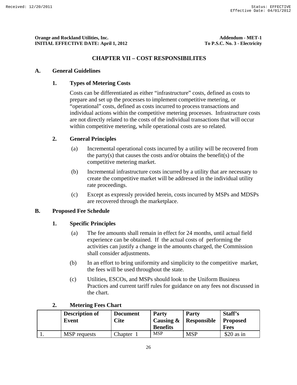## **CHAPTER VII – COST RESPONSIBILITES**

#### **A. General Guidelines**

### **1. Types of Metering Costs**

Costs can be differentiated as either "infrastructure" costs, defined as costs to prepare and set up the processes to implement competitive metering, or "operational" costs, defined as costs incurred to process transactions and individual actions within the competitive metering processes. Infrastructure costs are not directly related to the costs of the individual transactions that will occur within competitive metering, while operational costs are so related.

### **2. General Principles**

- (a) Incremental operational costs incurred by a utility will be recovered from the party(s) that causes the costs and/or obtains the benefit(s) of the competitive metering market.
- (b) Incremental infrastructure costs incurred by a utility that are necessary to create the competitive market will be addressed in the individual utility rate proceedings.
- (c) Except as expressly provided herein, costs incurred by MSPs and MDSPs are recovered through the marketplace.

### **B. Proposed Fee Schedule**

#### **1. Specific Principles**

- (a) The fee amounts shall remain in effect for 24 months, until actual field experience can be obtained. If the actual costs of performing the activities can justify a change in the amounts charged, the Commission shall consider adjustments.
- (b) In an effort to bring uniformity and simplicity to the competitive market, the fees will be used throughout the state.
- (c) Utilities, ESCOs, and MSPs should look to the Uniform Business Practices and current tariff rules for guidance on any fees not discussed in the chart.

| <b>Description of</b><br>Event | <b>Document</b><br>Cite | <b>Party</b><br>Causing $\&$<br><b>Benefits</b> | <b>Party</b><br>Responsible | Staff's<br><b>Proposed</b><br><b>Fees</b> |
|--------------------------------|-------------------------|-------------------------------------------------|-----------------------------|-------------------------------------------|
| <b>MSP</b> requests            | Chapter                 | <b>MSP</b>                                      | <b>MSP</b>                  | $$20$ as in                               |

### **2. Metering Fees Chart**